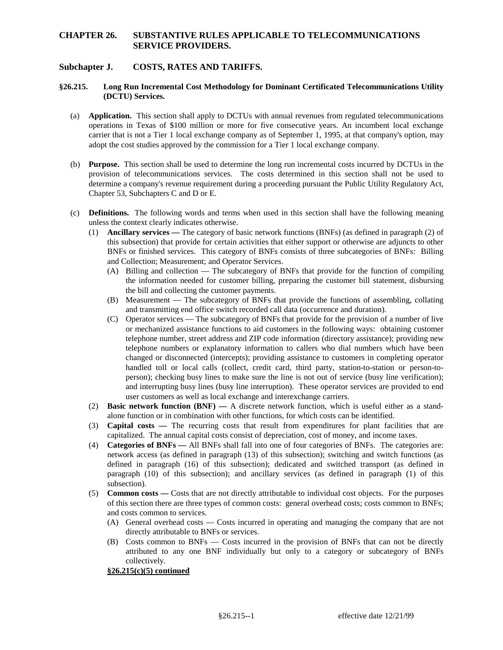## **Subchapter J. COSTS, RATES AND TARIFFS.**

### **§26.215. Long Run Incremental Cost Methodology for Dominant Certificated Telecommunications Utility (DCTU) Services.**

- (a) **Application.** This section shall apply to DCTUs with annual revenues from regulated telecommunications carrier that is not a Tier 1 local exchange company as of September 1, 1995, at that company's option, may operations in Texas of \$100 million or more for five consecutive years. An incumbent local exchange adopt the cost studies approved by the commission for a Tier 1 local exchange company.
- (b) **Purpose.** This section shall be used to determine the long run incremental costs incurred by DCTUs in the provision of telecommunications services. The costs determined in this section shall not be used to determine a company's revenue requirement during a proceeding pursuant the Public Utility Regulatory Act, Chapter 53, Subchapters C and D or E.
- (c) **Definitions.** The following words and terms when used in this section shall have the following meaning unless the context clearly indicates otherwise.
	- (1) **Ancillary services** The category of basic network functions (BNFs) (as defined in paragraph (2) of this subsection) that provide for certain activities that either support or otherwise are adjuncts to other BNFs or finished services. This category of BNFs consists of three subcategories of BNFs: Billing and Collection; Measurement; and Operator Services.
		- (A) Billing and collection The subcategory of BNFs that provide for the function of compiling the information needed for customer billing, preparing the customer bill statement, disbursing the bill and collecting the customer payments.
		- (B) Measurement The subcategory of BNFs that provide the functions of assembling, collating and transmitting end office switch recorded call data (occurrence and duration).
		- (C) Operator services The subcategory of BNFs that provide for the provision of a number of live or mechanized assistance functions to aid customers in the following ways: obtaining customer telephone numbers or explanatory information to callers who dial numbers which have been changed or disconnected (intercepts); providing assistance to customers in completing operator handled toll or local calls (collect, credit card, third party, station-to-station or person-to- person); checking busy lines to make sure the line is not out of service (busy line verification); and interrupting busy lines (busy line interruption). These operator services are provided to end telephone number, street address and ZIP code information (directory assistance); providing new user customers as well as local exchange and interexchange carriers.
	- (2) **Basic network function (BNF)** A discrete network function, which is useful either as a standalone function or in combination with other functions, for which costs can be identified.
	- (3) **Capital costs** The recurring costs that result from expenditures for plant facilities that are capitalized. The annual capital costs consist of depreciation, cost of money, and income taxes.
	- network access (as defined in paragraph (13) of this subsection); switching and switch functions (as (4) **Categories of BNFs —** All BNFs shall fall into one of four categories of BNFs. The categories are: defined in paragraph (16) of this subsection); dedicated and switched transport (as defined in paragraph (10) of this subsection); and ancillary services (as defined in paragraph (1) of this subsection).
	- of this section there are three types of common costs: general overhead costs; costs common to BNFs; (5) **Common costs —** Costs that are not directly attributable to individual cost objects. For the purposes and costs common to services.
		- (A) General overhead costs Costs incurred in operating and managing the company that are not directly attributable to BNFs or services.
		- (B) Costs common to BNFs Costs incurred in the provision of BNFs that can not be directly attributed to any one BNF individually but only to a category or subcategory of BNFs collectively.

#### **§26.215(c)(5) continued**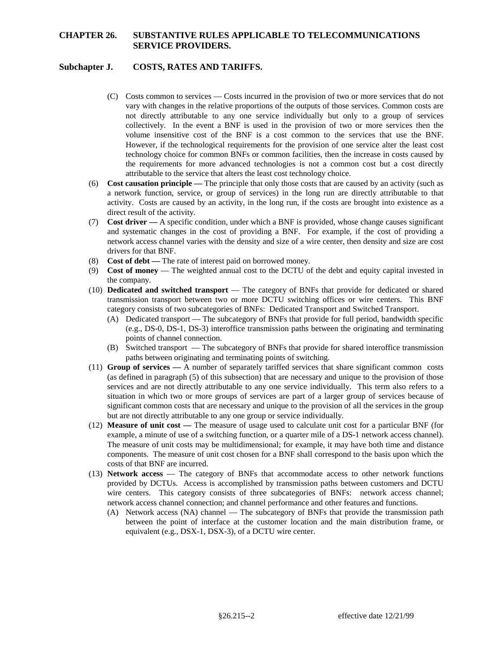# **Subchapter J. COSTS, RATES AND TARIFFS.**

- (C) Costs common to services Costs incurred in the provision of two or more services that do not vary with changes in the relative proportions of the outputs of those services. Common costs are not directly attributable to any one service individually but only to a group of services collectively. In the event a BNF is used in the provision of two or more services then the volume insensitive cost of the BNF is a cost common to the services that use the BNF. However, if the technological requirements for the provision of one service alter the least cost technology choice for common BNFs or common facilities, then the increase in costs caused by the requirements for more advanced technologies is not a common cost but a cost directly attributable to the service that alters the least cost technology choice.
- (6) **Cost causation principle** The principle that only those costs that are caused by an activity (such as a network function, service, or group of services) in the long run are directly attributable to that activity. Costs are caused by an activity, in the long run, if the costs are brought into existence as a direct result of the activity.
- and systematic changes in the cost of providing a BNF. For example, if the cost of providing a network access channel varies with the density and size of a wire center, then density and size are cost (7) **Cost driver —** A specific condition, under which a BNF is provided, whose change causes significant drivers for that BNF.
- (8) **Cost of debt** The rate of interest paid on borrowed money.
- (9) **Cost of money**  The weighted annual cost to the DCTU of the debt and equity capital invested in the company.
- (10) **Dedicated and switched transport**  The category of BNFs that provide for dedicated or shared transmission transport between two or more DCTU switching offices or wire centers. This BNF category consists of two subcategories of BNFs: Dedicated Transport and Switched Transport.
	- (A) Dedicated transport The subcategory of BNFs that provide for full period, bandwidth specific (e.g., DS-0, DS-1, DS-3) interoffice transmission paths between the originating and terminating points of channel connection.
	- (B) Switched transport The subcategory of BNFs that provide for shared interoffice transmission paths between originating and terminating points of switching.
- situation in which two or more groups of services are part of a larger group of services because of (11) **Group of services —** A number of separately tariffed services that share significant common costs (as defined in paragraph (5) of this subsection) that are necessary and unique to the provision of those services and are not directly attributable to any one service individually. This term also refers to a significant common costs that are necessary and unique to the provision of all the services in the group but are not directly attributable to any one group or service individually.
- example, a minute of use of a switching function, or a quarter mile of a DS-1 network access channel). components. The measure of unit cost chosen for a BNF shall correspond to the basis upon which the (12) **Measure of unit cost —** The measure of usage used to calculate unit cost for a particular BNF (for The measure of unit costs may be multidimensional; for example, it may have both time and distance costs of that BNF are incurred.
- wire centers. This category consists of three subcategories of BNFs: network access channel; (13) **Network access** — The category of BNFs that accommodate access to other network functions provided by DCTUs. Access is accomplished by transmission paths between customers and DCTU network access channel connection; and channel performance and other features and functions.
	- between the point of interface at the customer location and the main distribution frame, or (A) Network access (NA) channel — The subcategory of BNFs that provide the transmission path equivalent (e.g., DSX-1, DSX-3), of a DCTU wire center.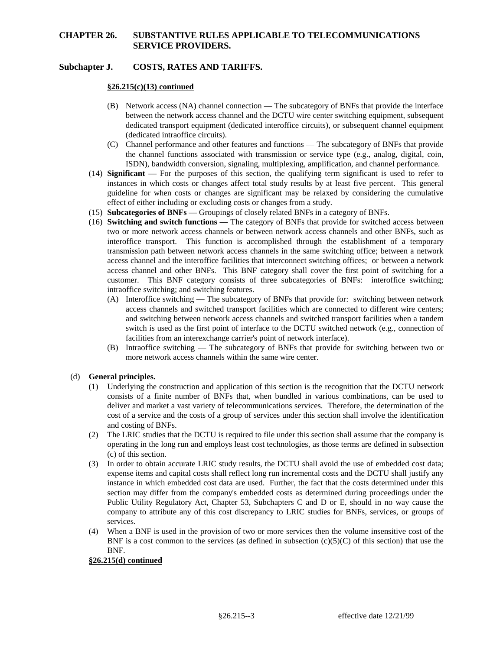# **Subchapter J. COSTS, RATES AND TARIFFS.**

### **§26.215(c)(13) continued**

- (B) Network access (NA) channel connection The subcategory of BNFs that provide the interface between the network access channel and the DCTU wire center switching equipment, subsequent dedicated transport equipment (dedicated interoffice circuits), or subsequent channel equipment (dedicated intraoffice circuits).
- (C) Channel performance and other features and functions The subcategory of BNFs that provide the channel functions associated with transmission or service type (e.g., analog, digital, coin, ISDN), bandwidth conversion, signaling, multiplexing, amplification, and channel performance.
- instances in which costs or changes affect total study results by at least five percent. This general (14) **Significant —** For the purposes of this section, the qualifying term significant is used to refer to guideline for when costs or changes are significant may be relaxed by considering the cumulative effect of either including or excluding costs or changes from a study.
- (15) **Subcategories of BNFs** Groupings of closely related BNFs in a category of BNFs.
- access channel and the interoffice facilities that interconnect switching offices; or between a network (16) **Switching and switch functions** — The category of BNFs that provide for switched access between two or more network access channels or between network access channels and other BNFs, such as interoffice transport. This function is accomplished through the establishment of a temporary transmission path between network access channels in the same switching office; between a network access channel and other BNFs. This BNF category shall cover the first point of switching for a customer. This BNF category consists of three subcategories of BNFs: interoffice switching; intraoffice switching; and switching features.
	- (A) Interoffice switching The subcategory of BNFs that provide for: switching between network switch is used as the first point of interface to the DCTU switched network (e.g., connection of access channels and switched transport facilities which are connected to different wire centers; and switching between network access channels and switched transport facilities when a tandem facilities from an interexchange carrier's point of network interface).
	- (B) Intraoffice switching The subcategory of BNFs that provide for switching between two or more network access channels within the same wire center.

### (d) **General principles.**

- consists of a finite number of BNFs that, when bundled in various combinations, can be used to deliver and market a vast variety of telecommunications services. Therefore, the determination of the cost of a service and the costs of a group of services under this section shall involve the identification (1) Underlying the construction and application of this section is the recognition that the DCTU network and costing of BNFs.
- operating in the long run and employs least cost technologies, as those terms are defined in subsection (2) The LRIC studies that the DCTU is required to file under this section shall assume that the company is (c) of this section.
- section may differ from the company's embedded costs as determined during proceedings under the Public Utility Regulatory Act, Chapter 53, Subchapters C and D or E, should in no way cause the company to attribute any of this cost discrepancy to LRIC studies for BNFs, services, or groups of (3) In order to obtain accurate LRIC study results, the DCTU shall avoid the use of embedded cost data; expense items and capital costs shall reflect long run incremental costs and the DCTU shall justify any instance in which embedded cost data are used. Further, the fact that the costs determined under this services.
- (4) When a BNF is used in the provision of two or more services then the volume insensitive cost of the BNF is a cost common to the services (as defined in subsection  $(c)(5)(C)$  of this section) that use the BNF.

### **§26.215(d) continued**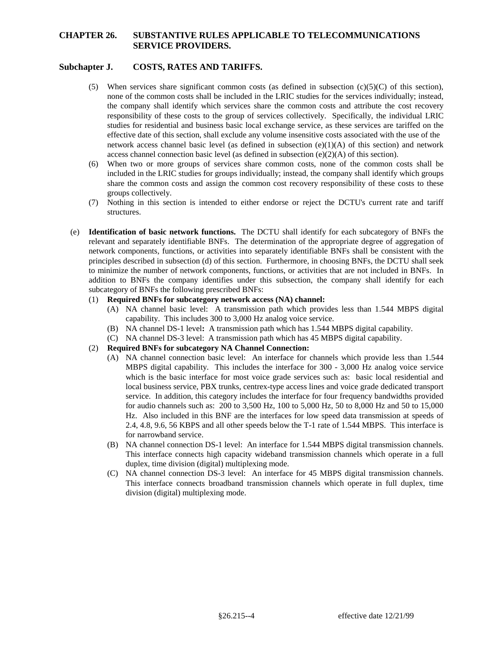# **Subchapter J. COSTS, RATES AND TARIFFS.**

- (5) When services share significant common costs (as defined in subsection  $(c)(5)(C)$  of this section), none of the common costs shall be included in the LRIC studies for the services individually; instead, responsibility of these costs to the group of services collectively. Specifically, the individual LRIC the company shall identify which services share the common costs and attribute the cost recovery studies for residential and business basic local exchange service, as these services are tariffed on the effective date of this section, shall exclude any volume insensitive costs associated with the use of the network access channel basic level (as defined in subsection  $(e)(1)(A)$  of this section) and network access channel connection basic level (as defined in subsection  $(e)(2)(A)$  of this section).
- included in the LRIC studies for groups individually; instead, the company shall identify which groups (6) When two or more groups of services share common costs, none of the common costs shall be share the common costs and assign the common cost recovery responsibility of these costs to these groups collectively.
- (7) Nothing in this section is intended to either endorse or reject the DCTU's current rate and tariff structures.
- (e) **Identification of basic network functions.** The DCTU shall identify for each subcategory of BNFs the to minimize the number of network components, functions, or activities that are not included in BNFs. In addition to BNFs the company identifies under this subsection, the company shall identify for each relevant and separately identifiable BNFs. The determination of the appropriate degree of aggregation of network components, functions, or activities into separately identifiable BNFs shall be consistent with the principles described in subsection (d) of this section. Furthermore, in choosing BNFs, the DCTU shall seek subcategory of BNFs the following prescribed BNFs:

### (1) **Required BNFs for subcategory network access (NA) channel:**

- (A) NA channel basic level: A transmission path which provides less than 1.544 MBPS digital capability. This includes 300 to 3,000 Hz analog voice service.
- (B) NA channel DS-1 level**:** A transmission path which has 1.544 MBPS digital capability.
- (C) NA channel DS-3 level: A transmission path which has 45 MBPS digital capability.

## (2) **Required BNFs for subcategory NA Channel Connection:**

- (A) NA channel connection basic level: An interface for channels which provide less than 1.544 which is the basic interface for most voice grade services such as: basic local residential and service. In addition, this category includes the interface for four frequency bandwidths provided MBPS digital capability. This includes the interface for 300 - 3,000 Hz analog voice service local business service, PBX trunks, centrex-type access lines and voice grade dedicated transport for audio channels such as: 200 to 3,500 Hz, 100 to 5,000 Hz, 50 to 8,000 Hz and 50 to 15,000 Hz. Also included in this BNF are the interfaces for low speed data transmission at speeds of 2.4, 4.8, 9.6, 56 KBPS and all other speeds below the T-1 rate of 1.544 MBPS. This interface is for narrowband service.
- (B) NA channel connection DS-1 level: An interface for 1.544 MBPS digital transmission channels. This interface connects high capacity wideband transmission channels which operate in a full duplex, time division (digital) multiplexing mode.
- (C) NA channel connection DS-3 level: An interface for 45 MBPS digital transmission channels. This interface connects broadband transmission channels which operate in full duplex, time division (digital) multiplexing mode.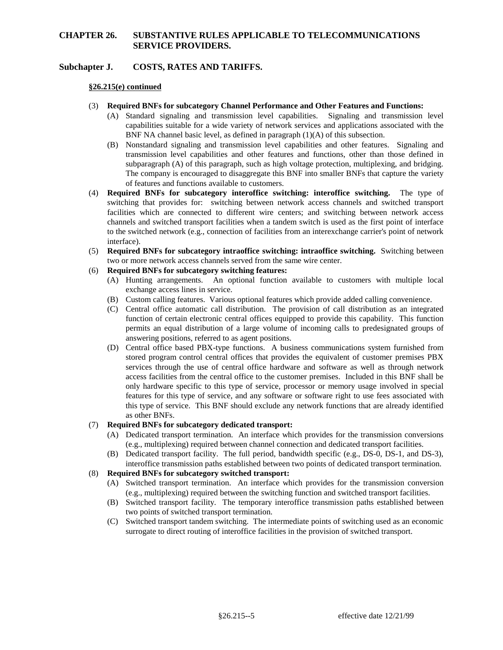## **Subchapter J. COSTS, RATES AND TARIFFS.**

### **§26.215(e) continued**

- (3) **Required BNFs for subcategory Channel Performance and Other Features and Functions:** 
	- (A) Standard signaling and transmission level capabilities. Signaling and transmission level capabilities suitable for a wide variety of network services and applications associated with the BNF NA channel basic level, as defined in paragraph (1)(A) of this subsection.
	- (B) Nonstandard signaling and transmission level capabilities and other features. Signaling and transmission level capabilities and other features and functions, other than those defined in subparagraph (A) of this paragraph, such as high voltage protection, multiplexing, and bridging. The company is encouraged to disaggregate this BNF into smaller BNFs that capture the variety of features and functions available to customers.
- channels and switched transport facilities when a tandem switch is used as the first point of interface (4) **Required BNFs for subcategory interoffice switching: interoffice switching.** The type of switching that provides for: switching between network access channels and switched transport facilities which are connected to different wire centers; and switching between network access to the switched network (e.g., connection of facilities from an interexchange carrier's point of network interface).
- (5) **Required BNFs for subcategory intraoffice switching: intraoffice switching.** Switching between two or more network access channels served from the same wire center.

# (6) **Required BNFs for subcategory switching features:**

- (A) Hunting arrangements. An optional function available to customers with multiple local exchange access lines in service.
- (B) Custom calling features. Various optional features which provide added calling convenience.
- (C) Central office automatic call distribution. The provision of call distribution as an integrated function of certain electronic central offices equipped to provide this capability. This function permits an equal distribution of a large volume of incoming calls to predesignated groups of answering positions, referred to as agent positions.
- (D) Central office based PBX-type functions. A business communications system furnished from services through the use of central office hardware and software as well as through network features for this type of service, and any software or software right to use fees associated with this type of service. This BNF should exclude any network functions that are already identified stored program control central offices that provides the equivalent of customer premises PBX access facilities from the central office to the customer premises. Included in this BNF shall be only hardware specific to this type of service, processor or memory usage involved in special as other BNFs.

## (7) **Required BNFs for subcategory dedicated transport:**

- (A) Dedicated transport termination. An interface which provides for the transmission conversions (e.g., multiplexing) required between channel connection and dedicated transport facilities.
- (B) Dedicated transport facility. The full period, bandwidth specific (e.g., DS-0, DS-1, and DS-3), interoffice transmission paths established between two points of dedicated transport termination.

#### (8) **Required BNFs for subcategory switched transport:**

- (A) Switched transport termination. An interface which provides for the transmission conversion (e.g., multiplexing) required between the switching function and switched transport facilities.
- (B) Switched transport facility. The temporary interoffice transmission paths established between two points of switched transport termination.
- (C) Switched transport tandem switching. The intermediate points of switching used as an economic surrogate to direct routing of interoffice facilities in the provision of switched transport.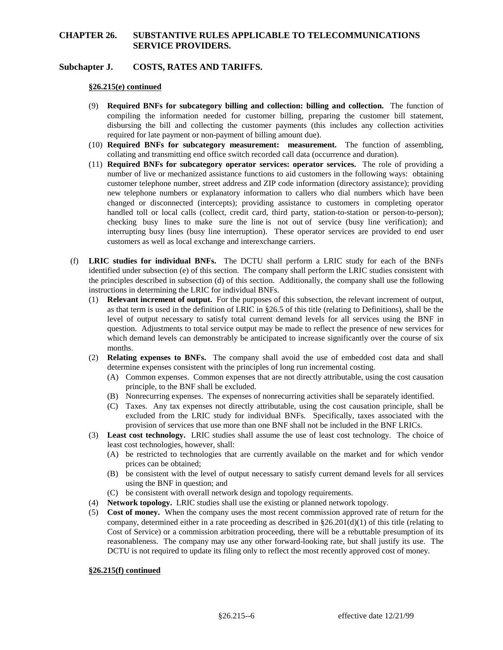## **Subchapter J. COSTS, RATES AND TARIFFS.**

### **§26.215(e) continued**

- disbursing the bill and collecting the customer payments (this includes any collection activities (9) **Required BNFs for subcategory billing and collection: billing and collection.** The function of compiling the information needed for customer billing, preparing the customer bill statement, required for late payment or non-payment of billing amount due).
- (10) **Required BNFs for subcategory measurement: measurement.** The function of assembling, collating and transmitting end office switch recorded call data (occurrence and duration).
- customer telephone number, street address and ZIP code information (directory assistance); providing new telephone numbers or explanatory information to callers who dial numbers which have been handled toll or local calls (collect, credit card, third party, station-to-station or person-to-person); checking busy lines to make sure the line is not out of service (busy line verification); and interrupting busy lines (busy line interruption). These operator services are provided to end user (11) **Required BNFs for subcategory operator services: operator services.** The role of providing a number of live or mechanized assistance functions to aid customers in the following ways: obtaining changed or disconnected (intercepts); providing assistance to customers in completing operator customers as well as local exchange and interexchange carriers.
- (f) **LRIC studies for individual BNFs.** The DCTU shall perform a LRIC study for each of the BNFs identified under subsection (e) of this section. The company shall perform the LRIC studies consistent with the principles described in subsection (d) of this section. Additionally, the company shall use the following instructions in determining the LRIC for individual BNFs.
	- (1) **Relevant increment of output.** For the purposes of this subsection, the relevant increment of output, question. Adjustments to total service output may be made to reflect the presence of new services for which demand levels can demonstrably be anticipated to increase significantly over the course of six as that term is used in the definition of LRIC in §26.5 of this title (relating to Definitions), shall be the level of output necessary to satisfy total current demand levels for all services using the BNF in months.
	- (2) **Relating expenses to BNFs.** The company shall avoid the use of embedded cost data and shall determine expenses consistent with the principles of long run incremental costing.
		- (A) Common expenses. Common expenses that are not directly attributable, using the cost causation principle, to the BNF shall be excluded.
		- (B) Nonrecurring expenses. The expenses of nonrecurring activities shall be separately identified.
		- (C) Taxes. Any tax expenses not directly attributable, using the cost causation principle, shall be excluded from the LRIC study for individual BNFs. Specifically, taxes associated with the provision of services that use more than one BNF shall not be included in the BNF LRICs.
	- (3) **Least cost technology.** LRIC studies shall assume the use of least cost technology. The choice of least cost technologies, however, shall:
		- (A) be restricted to technologies that are currently available on the market and for which vendor prices can be obtained;
		- (B) be consistent with the level of output necessary to satisfy current demand levels for all services using the BNF in question; and
		- (C) be consistent with overall network design and topology requirements.
	- (4) **Network topology.** LRIC studies shall use the existing or planned network topology.
	- (5) **Cost of money.** When the company uses the most recent commission approved rate of return for the Cost of Service) or a commission arbitration proceeding, there will be a rebuttable presumption of its reasonableness. The company may use any other forward-looking rate, but shall justify its use. The company, determined either in a rate proceeding as described in  $\S26.201(d)(1)$  of this title (relating to DCTU is not required to update its filing only to reflect the most recently approved cost of money.

### **§26.215(f) continued**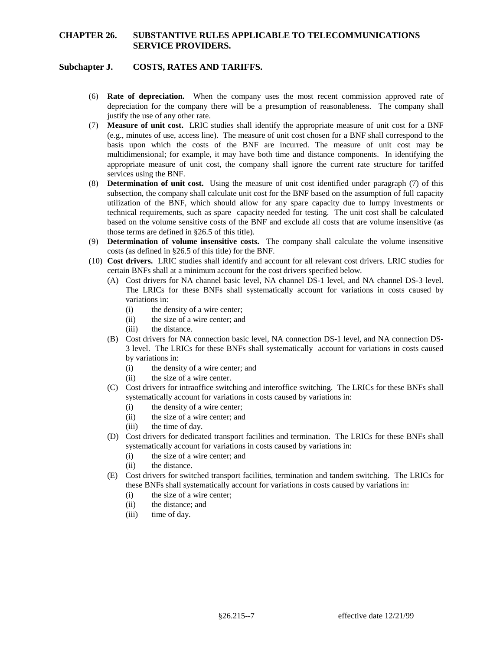# **Subchapter J. COSTS, RATES AND TARIFFS.**

- (6) **Rate of depreciation.** When the company uses the most recent commission approved rate of depreciation for the company there will be a presumption of reasonableness. The company shall justify the use of any other rate.
- basis upon which the costs of the BNF are incurred. The measure of unit cost may be (7) **Measure of unit cost.** LRIC studies shall identify the appropriate measure of unit cost for a BNF (e.g., minutes of use, access line). The measure of unit cost chosen for a BNF shall correspond to the multidimensional; for example, it may have both time and distance components. In identifying the appropriate measure of unit cost, the company shall ignore the current rate structure for tariffed services using the BNF.
- subsection, the company shall calculate unit cost for the BNF based on the assumption of full capacity utilization of the BNF, which should allow for any spare capacity due to lumpy investments or based on the volume sensitive costs of the BNF and exclude all costs that are volume insensitive (as (8) **Determination of unit cost.** Using the measure of unit cost identified under paragraph (7) of this technical requirements, such as spare capacity needed for testing. The unit cost shall be calculated those terms are defined in §26.5 of this title).
- (9) **Determination of volume insensitive costs.** The company shall calculate the volume insensitive costs (as defined in §26.5 of this title) for the BNF.
- (10) **Cost drivers.** LRIC studies shall identify and account for all relevant cost drivers. LRIC studies for certain BNFs shall at a minimum account for the cost drivers specified below.
	- (A) Cost drivers for NA channel basic level, NA channel DS-1 level, and NA channel DS-3 level. The LRICs for these BNFs shall systematically account for variations in costs caused by variations in:
		- (i) the density of a wire center;
		- (ii) the size of a wire center; and
		- (iii) the distance.
	- 3 level. The LRICs for these BNFs shall systematically account for variations in costs caused (B) Cost drivers for NA connection basic level, NA connection DS-1 level, and NA connection DSby variations in:
		- (i) the density of a wire center; and
		- (ii) the size of a wire center.
	- (C) Cost drivers for intraoffice switching and interoffice switching. The LRICs for these BNFs shall systematically account for variations in costs caused by variations in:
		- (i) the density of a wire center;
		- (ii) the size of a wire center; and
		- (iii) the time of day.
	- (D) Cost drivers for dedicated transport facilities and termination. The LRICs for these BNFs shall systematically account for variations in costs caused by variations in:
		- (i) the size of a wire center; and
		- (ii) the distance.
	- (E) Cost drivers for switched transport facilities, termination and tandem switching. The LRICs for these BNFs shall systematically account for variations in costs caused by variations in:
		- (i) the size of a wire center;
		- (ii) the distance; and
		- (iii) time of day.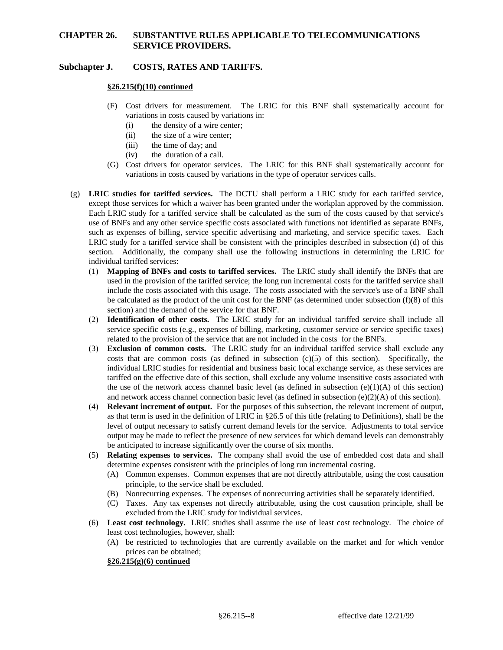## **Subchapter J. COSTS, RATES AND TARIFFS.**

### **§26.215(f)(10) continued**

- (F) Cost drivers for measurement. The LRIC for this BNF shall systematically account for variations in costs caused by variations in:
	- (i) the density of a wire center;
	- (ii) the size of a wire center;
	- (iii) the time of day; and
	- (iv) the duration of a call.
- (G) Cost drivers for operator services. The LRIC for this BNF shall systematically account for variations in costs caused by variations in the type of operator services calls.
- Each LRIC study for a tariffed service shall be calculated as the sum of the costs caused by that service's section. Additionally, the company shall use the following instructions in determining the LRIC for (g) **LRIC studies for tariffed services.** The DCTU shall perform a LRIC study for each tariffed service, except those services for which a waiver has been granted under the workplan approved by the commission. use of BNFs and any other service specific costs associated with functions not identified as separate BNFs, such as expenses of billing, service specific advertising and marketing, and service specific taxes. Each LRIC study for a tariffed service shall be consistent with the principles described in subsection (d) of this individual tariffed services:
	- include the costs associated with this usage. The costs associated with the service's use of a BNF shall be calculated as the product of the unit cost for the BNF (as determined under subsection (f)(8) of this (1) **Mapping of BNFs and costs to tariffed services.** The LRIC study shall identify the BNFs that are used in the provision of the tariffed service; the long run incremental costs for the tariffed service shall section) and the demand of the service for that BNF.
	- (2) **Identification of other costs.** The LRIC study for an individual tariffed service shall include all service specific costs (e.g., expenses of billing, marketing, customer service or service specific taxes) related to the provision of the service that are not included in the costs for the BNFs.
	- tariffed on the effective date of this section, shall exclude any volume insensitive costs associated with the use of the network access channel basic level (as defined in subsection  $(e)(1)(A)$  of this section) (3) **Exclusion of common costs.** The LRIC study for an individual tariffed service shall exclude any costs that are common costs (as defined in subsection  $(c)(5)$  of this section). Specifically, the individual LRIC studies for residential and business basic local exchange service, as these services are and network access channel connection basic level (as defined in subsection  $(e)(2)(A)$  of this section).
	- (4) **Relevant increment of output.** For the purposes of this subsection, the relevant increment of output, level of output necessary to satisfy current demand levels for the service. Adjustments to total service output may be made to reflect the presence of new services for which demand levels can demonstrably as that term is used in the definition of LRIC in §26.5 of this title (relating to Definitions), shall be the be anticipated to increase significantly over the course of six months.
	- (5) **Relating expenses to services.** The company shall avoid the use of embedded cost data and shall determine expenses consistent with the principles of long run incremental costing.
		- (A) Common expenses. Common expenses that are not directly attributable, using the cost causation principle, to the service shall be excluded.
		- (B) Nonrecurring expenses. The expenses of nonrecurring activities shall be separately identified.
		- (C) Taxes. Any tax expenses not directly attributable, using the cost causation principle, shall be excluded from the LRIC study for individual services.
	- (6) **Least cost technology.** LRIC studies shall assume the use of least cost technology. The choice of least cost technologies, however, shall:
		- (A) be restricted to technologies that are currently available on the market and for which vendor prices can be obtained;

#### **§26.215(g)(6) continued**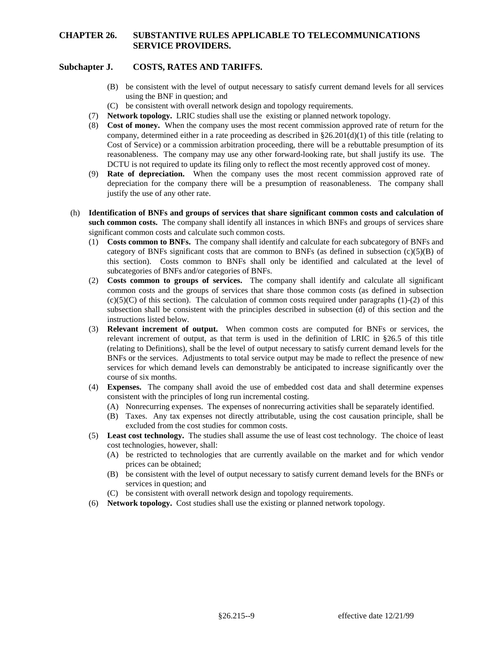## **Subchapter J. COSTS, RATES AND TARIFFS.**

- (B) be consistent with the level of output necessary to satisfy current demand levels for all services using the BNF in question; and
- (C) be consistent with overall network design and topology requirements.
- (7) **Network topology.** LRIC studies shall use the existing or planned network topology.
- (8) **Cost of money.** When the company uses the most recent commission approved rate of return for the Cost of Service) or a commission arbitration proceeding, there will be a rebuttable presumption of its reasonableness. The company may use any other forward-looking rate, but shall justify its use. The company, determined either in a rate proceeding as described in  $\S 26.201(d)(1)$  of this title (relating to DCTU is not required to update its filing only to reflect the most recently approved cost of money.
- (9) **Rate of depreciation.** When the company uses the most recent commission approved rate of depreciation for the company there will be a presumption of reasonableness. The company shall justify the use of any other rate.
- **such common costs.** The company shall identify all instances in which BNFs and groups of services share (h) **Identification of BNFs and groups of services that share significant common costs and calculation of**  significant common costs and calculate such common costs.
	- category of BNFs significant costs that are common to BNFs (as defined in subsection (c)(5)(B) of (1) **Costs common to BNFs.** The company shall identify and calculate for each subcategory of BNFs and this section). Costs common to BNFs shall only be identified and calculated at the level of subcategories of BNFs and/or categories of BNFs.
	- common costs and the groups of services that share those common costs (as defined in subsection  $(c)(5)(C)$  of this section). The calculation of common costs required under paragraphs  $(1)-(2)$  of this subsection shall be consistent with the principles described in subsection (d) of this section and the (2) **Costs common to groups of services.** The company shall identify and calculate all significant instructions listed below.
	- (3) **Relevant increment of output.** When common costs are computed for BNFs or services, the (relating to Definitions), shall be the level of output necessary to satisfy current demand levels for the services for which demand levels can demonstrably be anticipated to increase significantly over the relevant increment of output, as that term is used in the definition of LRIC in §26.5 of this title BNFs or the services. Adjustments to total service output may be made to reflect the presence of new course of six months.
	- (4) **Expenses.** The company shall avoid the use of embedded cost data and shall determine expenses consistent with the principles of long run incremental costing.
		- (A) Nonrecurring expenses. The expenses of nonrecurring activities shall be separately identified.
		- (B) Taxes. Any tax expenses not directly attributable, using the cost causation principle, shall be excluded from the cost studies for common costs.
	- (5) **Least cost technology.** The studies shall assume the use of least cost technology. The choice of least cost technologies, however, shall:
		- (A) be restricted to technologies that are currently available on the market and for which vendor prices can be obtained;
		- (B) be consistent with the level of output necessary to satisfy current demand levels for the BNFs or services in question; and
		- (C) be consistent with overall network design and topology requirements.
	- (6) **Network topology.** Cost studies shall use the existing or planned network topology.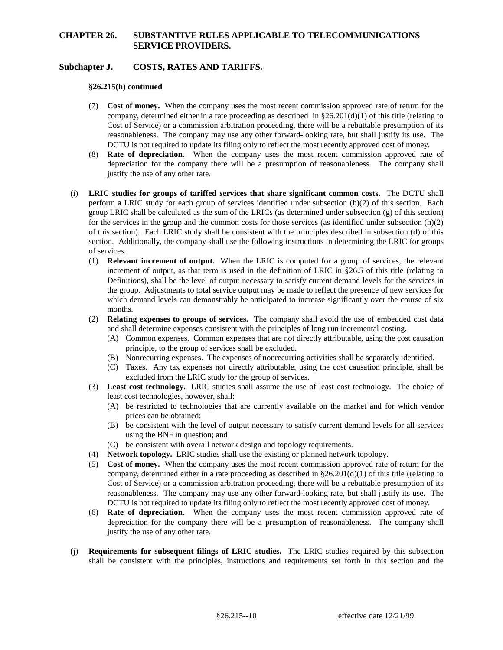## **Subchapter J. COSTS, RATES AND TARIFFS.**

#### **§26.215(h) continued**

- (7) **Cost of money.** When the company uses the most recent commission approved rate of return for the Cost of Service) or a commission arbitration proceeding, there will be a rebuttable presumption of its reasonableness. The company may use any other forward-looking rate, but shall justify its use. The company, determined either in a rate proceeding as described in  $\S 26.201(d)(1)$  of this title (relating to DCTU is not required to update its filing only to reflect the most recently approved cost of money.
- (8) **Rate of depreciation.** When the company uses the most recent commission approved rate of depreciation for the company there will be a presumption of reasonableness. The company shall justify the use of any other rate.
- (i) **LRIC studies for groups of tariffed services that share significant common costs.** The DCTU shall perform a LRIC study for each group of services identified under subsection (h)(2) of this section. Each for the services in the group and the common costs for those services (as identified under subsection  $(h)(2)$ ) of this section). Each LRIC study shall be consistent with the principles described in subsection (d) of this section. Additionally, the company shall use the following instructions in determining the LRIC for groups group LRIC shall be calculated as the sum of the LRICs (as determined under subsection (g) of this section) of services.
	- (1) **Relevant increment of output.** When the LRIC is computed for a group of services, the relevant Definitions), shall be the level of output necessary to satisfy current demand levels for the services in the group. Adjustments to total service output may be made to reflect the presence of new services for which demand levels can demonstrably be anticipated to increase significantly over the course of six increment of output, as that term is used in the definition of LRIC in §26.5 of this title (relating to months.
	- (2) **Relating expenses to groups of services.** The company shall avoid the use of embedded cost data and shall determine expenses consistent with the principles of long run incremental costing.
		- (A) Common expenses. Common expenses that are not directly attributable, using the cost causation principle, to the group of services shall be excluded.
		- (B) Nonrecurring expenses. The expenses of nonrecurring activities shall be separately identified.
		- (C) Taxes. Any tax expenses not directly attributable, using the cost causation principle, shall be excluded from the LRIC study for the group of services.
	- (3) **Least cost technology.** LRIC studies shall assume the use of least cost technology. The choice of least cost technologies, however, shall:
		- (A) be restricted to technologies that are currently available on the market and for which vendor prices can be obtained;
		- (B) be consistent with the level of output necessary to satisfy current demand levels for all services using the BNF in question; and
		- (C) be consistent with overall network design and topology requirements.
	- (4) **Network topology.** LRIC studies shall use the existing or planned network topology.
	- (5) **Cost of money.** When the company uses the most recent commission approved rate of return for the Cost of Service) or a commission arbitration proceeding, there will be a rebuttable presumption of its reasonableness. The company may use any other forward-looking rate, but shall justify its use. The company, determined either in a rate proceeding as described in  $\S 26.201(d)(1)$  of this title (relating to DCTU is not required to update its filing only to reflect the most recently approved cost of money.
	- (6) **Rate of depreciation.** When the company uses the most recent commission approved rate of depreciation for the company there will be a presumption of reasonableness. The company shall justify the use of any other rate.
- (j) **Requirements for subsequent filings of LRIC studies.** The LRIC studies required by this subsection shall be consistent with the principles, instructions and requirements set forth in this section and the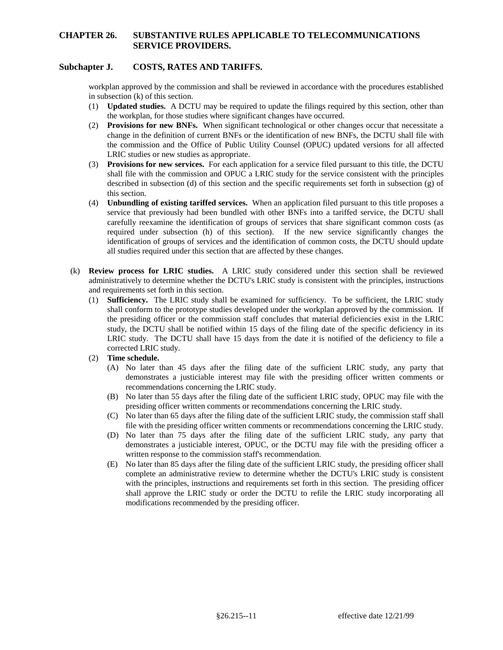## **Subchapter J. COSTS, RATES AND TARIFFS.**

 workplan approved by the commission and shall be reviewed in accordance with the procedures established in subsection (k) of this section.

- (1) **Updated studies.** A DCTU may be required to update the filings required by this section, other than the workplan, for those studies where significant changes have occurred.
- change in the definition of current BNFs or the identification of new BNFs, the DCTU shall file with (2) **Provisions for new BNFs.** When significant technological or other changes occur that necessitate a the commission and the Office of Public Utility Counsel (OPUC) updated versions for all affected LRIC studies or new studies as appropriate.
- shall file with the commission and OPUC a LRIC study for the service consistent with the principles described in subsection (d) of this section and the specific requirements set forth in subsection (g) of (3) **Provisions for new services.** For each application for a service filed pursuant to this title, the DCTU this section.
- required under subsection (h) of this section). If the new service significantly changes the identification of groups of services and the identification of common costs, the DCTU should update (4) **Unbundling of existing tariffed services.** When an application filed pursuant to this title proposes a service that previously had been bundled with other BNFs into a tariffed service, the DCTU shall carefully reexamine the identification of groups of services that share significant common costs (as all studies required under this section that are affected by these changes.
- administratively to determine whether the DCTU's LRIC study is consistent with the principles, instructions (k) **Review process for LRIC studies.** A LRIC study considered under this section shall be reviewed and requirements set forth in this section.
	- (1) **Sufficiency.** The LRIC study shall be examined for sufficiency. To be sufficient, the LRIC study study, the DCTU shall be notified within 15 days of the filing date of the specific deficiency in its LRIC study. The DCTU shall have 15 days from the date it is notified of the deficiency to file a shall conform to the prototype studies developed under the workplan approved by the commission*.* If the presiding officer or the commission staff concludes that material deficiencies exist in the LRIC corrected LRIC study.
	- (2) **Time schedule.** 
		- (A) No later than 45 days after the filing date of the sufficient LRIC study, any party that demonstrates a justiciable interest may file with the presiding officer written comments or recommendations concerning the LRIC study.
		- (B) No later than 55 days after the filing date of the sufficient LRIC study, OPUC may file with the presiding officer written comments or recommendations concerning the LRIC study.
		- (C) No later than 65 days after the filing date of the sufficient LRIC study, the commission staff shall file with the presiding officer written comments or recommendations concerning the LRIC study.
		- (D) No later than 75 days after the filing date of the sufficient LRIC study, any party that demonstrates a justiciable interest, OPUC, or the DCTU may file with the presiding officer a written response to the commission staff's recommendation.
		- with the principles, instructions and requirements set forth in this section. The presiding officer (E) No later than 85 days after the filing date of the sufficient LRIC study, the presiding officer shall complete an administrative review to determine whether the DCTU's LRIC study is consistent shall approve the LRIC study or order the DCTU to refile the LRIC study incorporating all modifications recommended by the presiding officer.